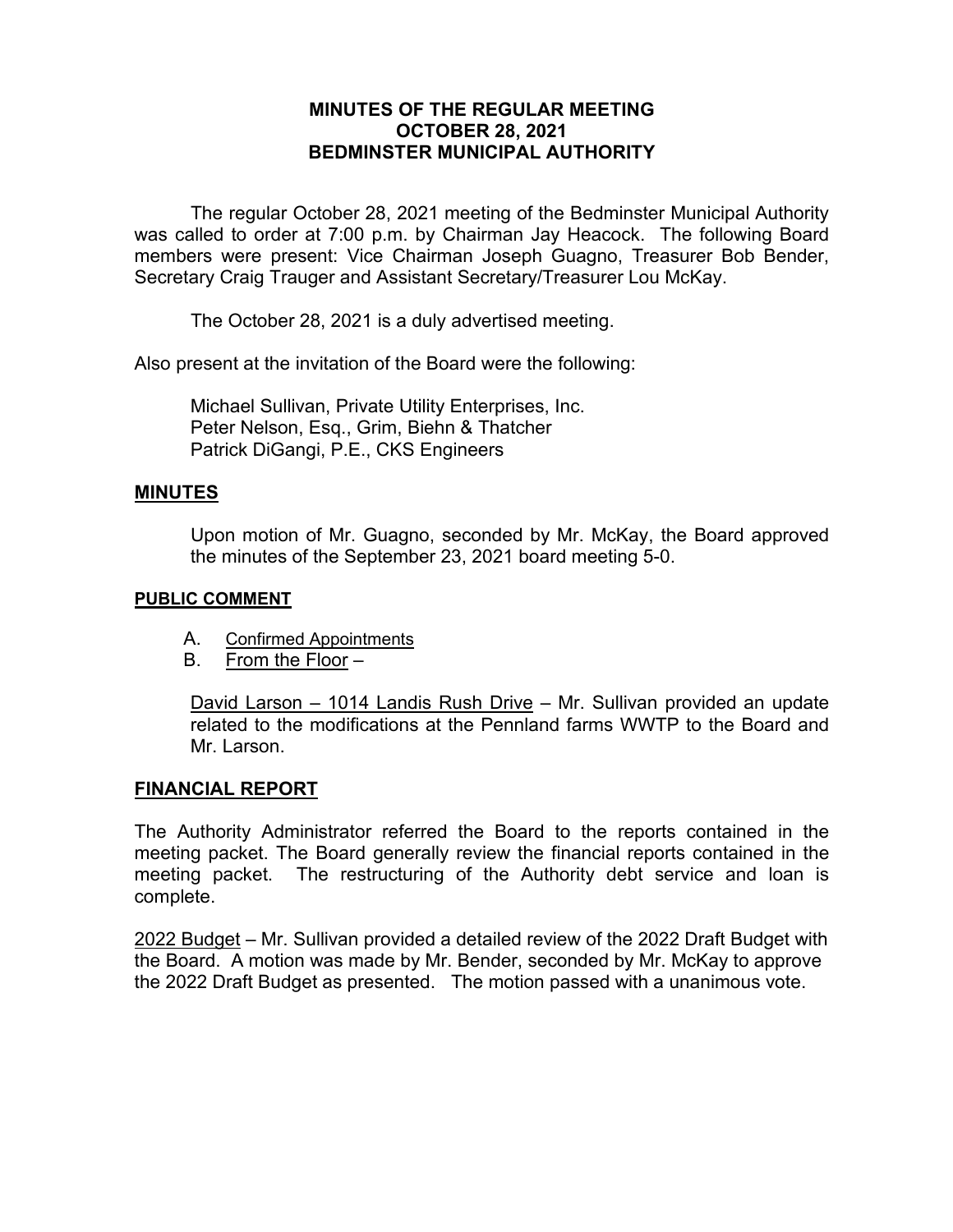# **MINUTES OF THE REGULAR MEETING OCTOBER 28, 2021 BEDMINSTER MUNICIPAL AUTHORITY**

The regular October 28, 2021 meeting of the Bedminster Municipal Authority was called to order at 7:00 p.m. by Chairman Jay Heacock. The following Board members were present: Vice Chairman Joseph Guagno, Treasurer Bob Bender, Secretary Craig Trauger and Assistant Secretary/Treasurer Lou McKay.

The October 28, 2021 is a duly advertised meeting.

Also present at the invitation of the Board were the following:

Michael Sullivan, Private Utility Enterprises, Inc. Peter Nelson, Esq., Grim, Biehn & Thatcher Patrick DiGangi, P.E., CKS Engineers

#### **MINUTES**

Upon motion of Mr. Guagno, seconded by Mr. McKay, the Board approved the minutes of the September 23, 2021 board meeting 5-0.

#### **PUBLIC COMMENT**

- A. Confirmed Appointments
- B. From the Floor –

David Larson – 1014 Landis Rush Drive – Mr. Sullivan provided an update related to the modifications at the Pennland farms WWTP to the Board and Mr. Larson.

### **FINANCIAL REPORT**

The Authority Administrator referred the Board to the reports contained in the meeting packet. The Board generally review the financial reports contained in the meeting packet. The restructuring of the Authority debt service and loan is complete.

2022 Budget – Mr. Sullivan provided a detailed review of the 2022 Draft Budget with the Board. A motion was made by Mr. Bender, seconded by Mr. McKay to approve the 2022 Draft Budget as presented. The motion passed with a unanimous vote.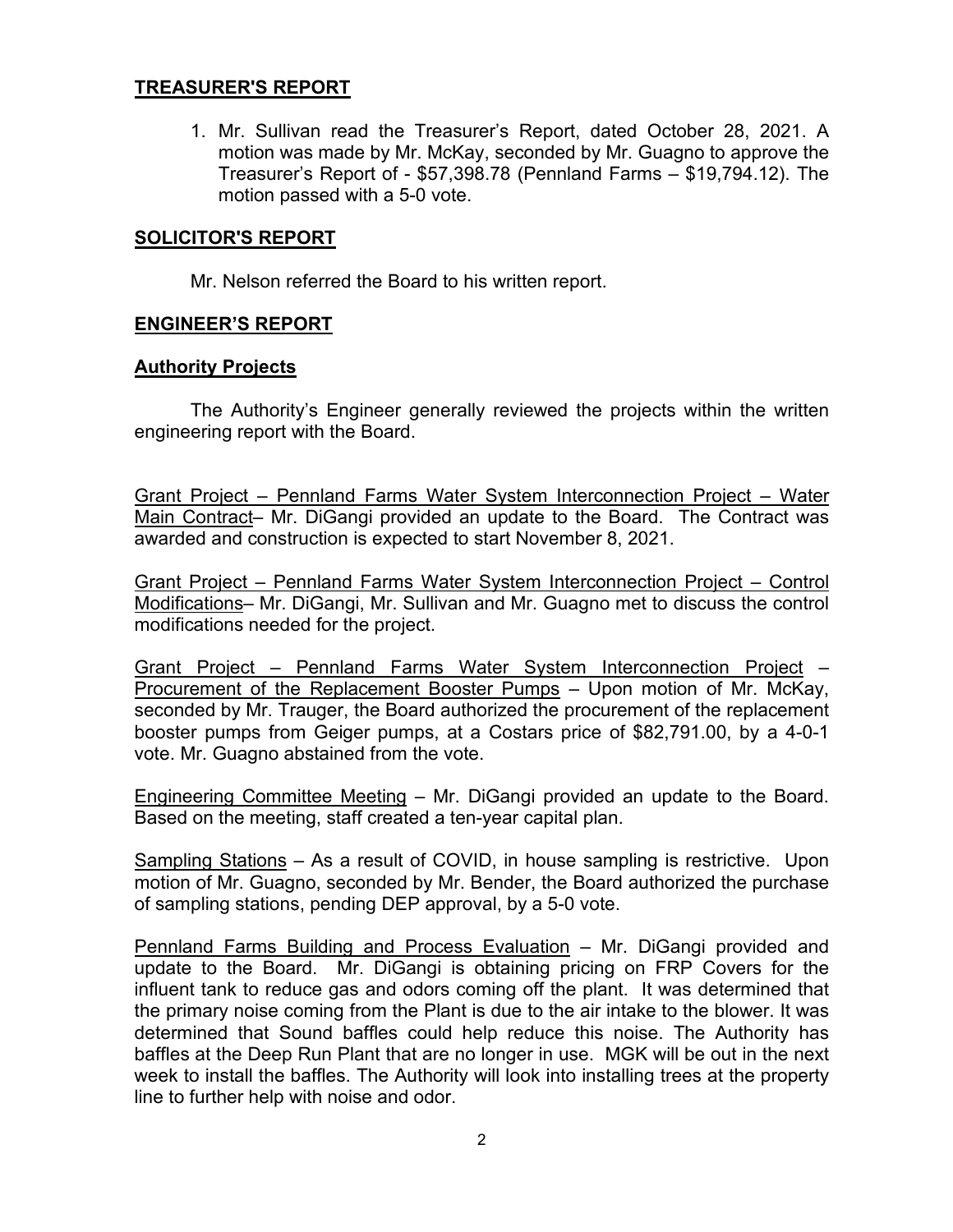# **TREASURER'S REPORT**

1. Mr. Sullivan read the Treasurer's Report, dated October 28, 2021. A motion was made by Mr. McKay, seconded by Mr. Guagno to approve the Treasurer's Report of - \$57,398.78 (Pennland Farms – \$19,794.12). The motion passed with a 5-0 vote.

#### **SOLICITOR'S REPORT**

Mr. Nelson referred the Board to his written report.

### **ENGINEER'S REPORT**

#### **Authority Projects**

The Authority's Engineer generally reviewed the projects within the written engineering report with the Board.

Grant Project – Pennland Farms Water System Interconnection Project – Water Main Contract– Mr. DiGangi provided an update to the Board. The Contract was awarded and construction is expected to start November 8, 2021.

Grant Project – Pennland Farms Water System Interconnection Project – Control Modifications– Mr. DiGangi, Mr. Sullivan and Mr. Guagno met to discuss the control modifications needed for the project.

Grant Project – Pennland Farms Water System Interconnection Project – Procurement of the Replacement Booster Pumps – Upon motion of Mr. McKay, seconded by Mr. Trauger, the Board authorized the procurement of the replacement booster pumps from Geiger pumps, at a Costars price of \$82,791.00, by a 4-0-1 vote. Mr. Guagno abstained from the vote.

Engineering Committee Meeting – Mr. DiGangi provided an update to the Board. Based on the meeting, staff created a ten-year capital plan.

Sampling Stations – As a result of COVID, in house sampling is restrictive. Upon motion of Mr. Guagno, seconded by Mr. Bender, the Board authorized the purchase of sampling stations, pending DEP approval, by a 5-0 vote.

Pennland Farms Building and Process Evaluation – Mr. DiGangi provided and update to the Board. Mr. DiGangi is obtaining pricing on FRP Covers for the influent tank to reduce gas and odors coming off the plant. It was determined that the primary noise coming from the Plant is due to the air intake to the blower. It was determined that Sound baffles could help reduce this noise. The Authority has baffles at the Deep Run Plant that are no longer in use. MGK will be out in the next week to install the baffles. The Authority will look into installing trees at the property line to further help with noise and odor.